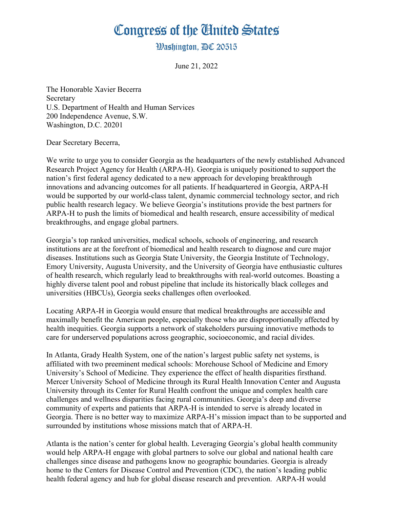## Congress of the Cinited States

**Washington, AC 20515** 

June 21, 2022

The Honorable Xavier Becerra Secretary U.S. Department of Health and Human Services 200 Independence Avenue, S.W. Washington, D.C. 20201

Dear Secretary Becerra,

We write to urge you to consider Georgia as the headquarters of the newly established Advanced Research Project Agency for Health (ARPA-H). Georgia is uniquely positioned to support the nation's first federal agency dedicated to a new approach for developing breakthrough innovations and advancing outcomes for all patients. If headquartered in Georgia, ARPA-H would be supported by our world-class talent, dynamic commercial technology sector, and rich public health research legacy. We believe Georgia's institutions provide the best partners for ARPA-H to push the limits of biomedical and health research, ensure accessibility of medical breakthroughs, and engage global partners.

Georgia's top ranked universities, medical schools, schools of engineering, and research institutions are at the forefront of biomedical and health research to diagnose and cure major diseases. Institutions such as Georgia State University, the Georgia Institute of Technology, Emory University, Augusta University, and the University of Georgia have enthusiastic cultures of health research, which regularly lead to breakthroughs with real-world outcomes. Boasting a highly diverse talent pool and robust pipeline that include its historically black colleges and universities (HBCUs), Georgia seeks challenges often overlooked.

Locating ARPA-H in Georgia would ensure that medical breakthroughs are accessible and maximally benefit the American people, especially those who are disproportionally affected by health inequities. Georgia supports a network of stakeholders pursuing innovative methods to care for underserved populations across geographic, socioeconomic, and racial divides.

In Atlanta, Grady Health System, one of the nation's largest public safety net systems, is affiliated with two preeminent medical schools: Morehouse School of Medicine and Emory University's School of Medicine. They experience the effect of health disparities firsthand. Mercer University School of Medicine through its Rural Health Innovation Center and Augusta University through its Center for Rural Health confront the unique and complex health care challenges and wellness disparities facing rural communities. Georgia's deep and diverse community of experts and patients that ARPA-H is intended to serve is already located in Georgia. There is no better way to maximize ARPA-H's mission impact than to be supported and surrounded by institutions whose missions match that of ARPA-H.

Atlanta is the nation's center for global health. Leveraging Georgia's global health community would help ARPA-H engage with global partners to solve our global and national health care challenges since disease and pathogens know no geographic boundaries. Georgia is already home to the Centers for Disease Control and Prevention (CDC), the nation's leading public health federal agency and hub for global disease research and prevention. ARPA-H would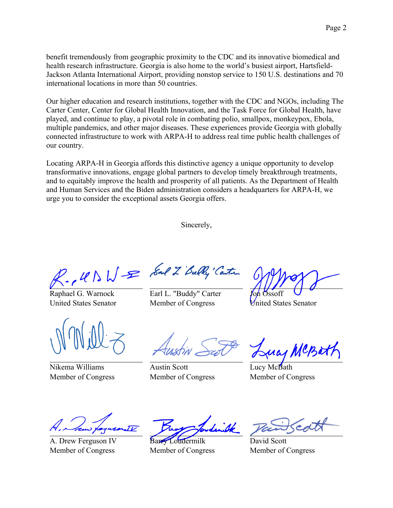benefit tremendously from geographic proximity to the CDC and its innovative biomedical and health research infrastructure. Georgia is also home to the world's busiest airport, Hartsfield-Jackson Atlanta International Airport, providing nonstop service to 150 U.S. destinations and 70 international locations in more than 50 countries.

Our higher education and research institutions, together with the CDC and NGOs, including The Carter Center, Center for Global Health Innovation, and the Task Force for Global Health, have played, and continue to play, a pivotal role in combating polio, smallpox, monkeypox, Ebola, multiple pandemics, and other major diseases. These experiences provide Georgia with globally connected infrastructure to work with ARPA-H to address real time public health challenges of our country.

Locating ARPA-H in Georgia affords this distinctive agency a unique opportunity to develop transformative innovations, engage global partners to develop timely breakthrough treatments, and to equitably improve the health and prosperity of all patients. As the Department of Health and Human Services and the Biden administration considers a headquarters for ARPA-H, we urge you to consider the exceptional assets Georgia offers.

Sincerely,

P. USWE Sal 2 Bully Canter

Raphael G. Warnock United States Senator

Nikema Williams Member of Congress

Earl L. "Buddy" Carter Member of Congress

Jon Ossoff United States Senator

Austin Scott Member of Congress

1 MCBat

Lucy McBath Member of Congress

A. Drew Ferguson IV Member of Congress

Barry Loudermilk Member of Congress

David Scott Member of Congress